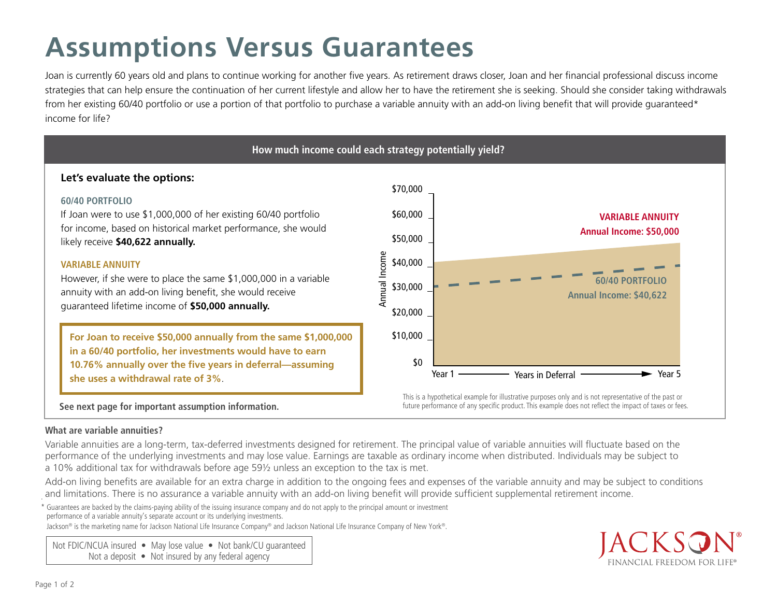# **Assumptions Versus Guarantees**

Joan is currently 60 years old and plans to continue working for another five years. As retirement draws closer, Joan and her financial professional discuss income strategies that can help ensure the continuation of her current lifestyle and allow her to have the retirement she is seeking. Should she consider taking withdrawals from her existing 60/40 portfolio or use a portion of that portfolio to purchase a variable annuity with an add-on living benefit that will provide quaranteed\* income for life?

# **How much income could each strategy potentially yield?**

## **Let's evaluate the options:**

### **60/40 PORTFOLIO**

for income, based on historical market performance, she would If Joan were to use \$1,000,000 of her existing 60/40 portfolio likely receive **\$40,622 annually.**

#### **VARIABLE ANNUITY**

annuity with an add-on living benefit, she would receive าe<br>er<br>**เร** However, if she were to place the same \$1,000,000 in a variable guaranteed lifetime income of **\$50,000 annually.**

 $\overline{2,0}$ 10.76% annually over the five years in deferral—assuming **For Joan to receive \$50,000 annually from the same \$1,000,000 in a 60/40 portfolio, her investments would have to earn she uses a withdrawal rate of 3%**.





future performance of any specific product. This example does not reflect the impact of taxes or fees.

#### **What are variable annuities?**

Variable annuities are a long-term, tax-deferred investments designed for retirement. The principal value of variable annuities will fluctuate based on the performance of the underlying investments and may lose value. Earnings are taxable as ordinary income when distributed. Individuals may be subject to a 10% additional tax for withdrawals before age 59½ unless an exception to the tax is met.

. and limitations. There is no assurance a variable annuity with an add-on living benefit will provide sufficient supplemental retirement income.Add-on living benefits are available for an extra charge in addition to the ongoing fees and expenses of the variable annuity and may be subject to conditions

\* Guarantees are backed by the claims-paying ability of the issuing insurance company and do not apply to the principal amount or investment performance of a variable annuity's separate account or its underlying investments.

Jackson® is the marketing name for Jackson National Life Insurance Company® and Jackson National Life Insurance Company of New York®.

Not FDIC/NCUA insured • May lose value • Not bank/CU quaranteed Not a deposit • Not insured by any federal agency